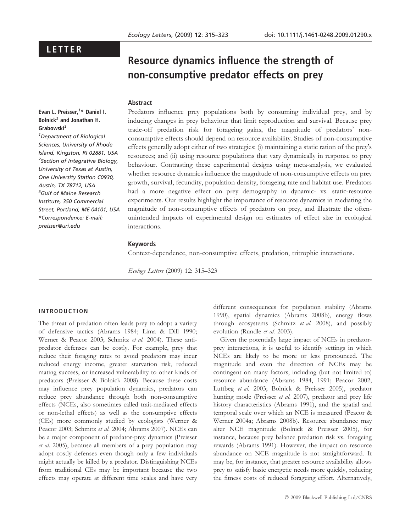# LETTER

# Resource dynamics influence the strength of non-consumptive predator effects on prey

# Abstract

# Evan L. Preisser,<sup>1</sup>\* Daniel I. Bolnick<sup>2</sup> and Jonathan H. Grabowski<sup>3</sup>

1 Department of Biological Sciences, University of Rhode Island, Kingston, RI 02881, USA <sup>2</sup>Section of Integrative Biology, University of Texas at Austin, One University Station C0930, Austin, TX 78712, USA <sup>3</sup>Gulf of Maine Research Institute, 350 Commercial Street, Portland, ME 04101, USA \*Correspondence: E-mail: preisser@uri.edu

Predators influence prey populations both by consuming individual prey, and by inducing changes in prey behaviour that limit reproduction and survival. Because prey trade-off predation risk for forageing gains, the magnitude of predators' nonconsumptive effects should depend on resource availability. Studies of non-consumptive effects generally adopt either of two strategies: (i) maintaining a static ration of the prey's resources; and (ii) using resource populations that vary dynamically in response to prey behaviour. Contrasting these experimental designs using meta-analysis, we evaluated whether resource dynamics influence the magnitude of non-consumptive effects on prey growth, survival, fecundity, population density, forageing rate and habitat use. Predators had a more negative effect on prey demography in dynamic- vs. static-resource experiments. Our results highlight the importance of resource dynamics in mediating the magnitude of non-consumptive effects of predators on prey, and illustrate the oftenunintended impacts of experimental design on estimates of effect size in ecological interactions.

# Keywords

Context-dependence, non-consumptive effects, predation, tritrophic interactions.

Ecology Letters (2009) 12: 315–323

# INTRODUCTION

The threat of predation often leads prey to adopt a variety of defensive tactics (Abrams 1984; Lima & Dill 1990; Werner & Peacor 2003; Schmitz et al. 2004). These antipredator defenses can be costly. For example, prey that reduce their foraging rates to avoid predators may incur reduced energy income, greater starvation risk, reduced mating success, or increased vulnerability to other kinds of predators (Preisser & Bolnick 2008). Because these costs may influence prey population dynamics, predators can reduce prey abundance through both non-consumptive effects (NCEs, also sometimes called trait-mediated effects or non-lethal effects) as well as the consumptive effects (CEs) more commonly studied by ecologists (Werner & Peacor 2003; Schmitz et al. 2004; Abrams 2007). NCEs can be a major component of predator-prey dynamics (Preisser et al. 2005), because all members of a prey population may adopt costly defenses even though only a few individuals might actually be killed by a predator. Distinguishing NCEs from traditional CEs may be important because the two effects may operate at different time scales and have very different consequences for population stability (Abrams 1990), spatial dynamics (Abrams 2008b), energy flows through ecosystems (Schmitz et al. 2008), and possibly evolution (Rundle et al. 2003).

Given the potentially large impact of NCEs in predatorprey interactions, it is useful to identify settings in which NCEs are likely to be more or less pronounced. The magnitude and even the direction of NCEs may be contingent on many factors, including (but not limited to) resource abundance (Abrams 1984, 1991; Peacor 2002; Luttbeg et al. 2003; Bolnick & Preisser 2005), predator hunting mode (Preisser et al. 2007), predator and prey life history characteristics (Abrams 1991), and the spatial and temporal scale over which an NCE is measured (Peacor & Werner 2004a; Abrams 2008b). Resource abundance may alter NCE magnitude (Bolnick & Preisser 2005), for instance, because prey balance predation risk vs. forageing rewards (Abrams 1991). However, the impact on resource abundance on NCE magnitude is not straightforward. It may be, for instance, that greater resource availability allows prey to satisfy basic energetic needs more quickly, reducing the fitness costs of reduced forageing effort. Alternatively,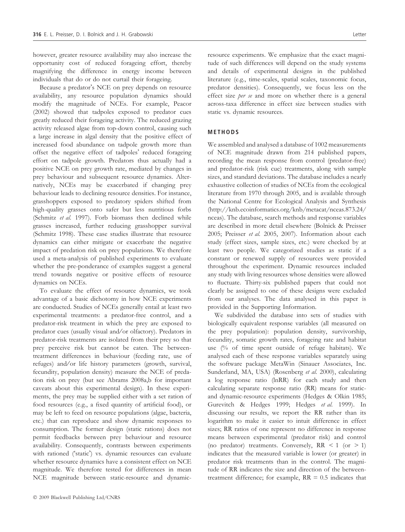however, greater resource availability may also increase the opportunity cost of reduced forageing effort, thereby magnifying the difference in energy income between individuals that do or do not curtail their forageing.

Because a predator's NCE on prey depends on resource availability, any resource population dynamics should modify the magnitude of NCEs. For example, Peacor (2002) showed that tadpoles exposed to predator cues greatly reduced their forageing activity. The reduced grazing activity released algae from top-down control, causing such a large increase in algal density that the positive effect of increased food abundance on tadpole growth more than offset the negative effect of tadpoles' reduced forageing effort on tadpole growth. Predators thus actually had a positive NCE on prey growth rate, mediated by changes in prey behaviour and subsequent resource dynamics. Alternatively, NCEs may be exacerbated if changing prey behaviour leads to declining resource densities. For instance, grasshoppers exposed to predatory spiders shifted from high-quality grasses onto safer but less nutritious forbs (Schmitz et al. 1997). Forb biomass then declined while grasses increased, further reducing grasshopper survival (Schmitz 1998). These case studies illustrate that resource dynamics can either mitigate or exacerbate the negative impact of predation risk on prey populations. We therefore used a meta-analysis of published experiments to evaluate whether the pre-ponderance of examples suggest a general trend towards negative or positive effects of resource dynamics on NCEs.

To evaluate the effect of resource dynamics, we took advantage of a basic dichotomy in how NCE experiments are conducted. Studies of NCEs generally entail at least two experimental treatments: a predator-free control, and a predator-risk treatment in which the prey are exposed to predator cues (usually visual and/or olfactory). Predators in predator-risk treatments are isolated from their prey so that prey perceive risk but cannot be eaten. The betweentreatment differences in behaviour (feeding rate, use of refuges) and/or life history parameters (growth, survival, fecundity, population density) measure the NCE of predation risk on prey (but see Abrams 2008a,b for important caveats about this experimental design). In these experiments, the prey may be supplied either with a set ration of food resources (e.g., a fixed quantity of artificial food), or may be left to feed on resource populations (algae, bacteria, etc.) that can reproduce and show dynamic responses to consumption. The former design (static rations) does not permit feedbacks between prey behaviour and resource availability. Consequently, contrasts between experiments with rationed ('static') vs. dynamic resources can evaluate whether resource dynamics have a consistent effect on NCE magnitude. We therefore tested for differences in mean NCE magnitude between static-resource and dynamicresource experiments. We emphasize that the exact magnitude of such differences will depend on the study systems and details of experimental designs in the published literature (e.g., time-scales, spatial scales, taxonomic focus, predator densities). Consequently, we focus less on the effect size *per se* and more on whether there is a general across-taxa difference in effect size between studies with static vs. dynamic resources.

# METHODS

We assembled and analysed a database of 1002 measurements of NCE magnitude drawn from 214 published papers, recording the mean response from control (predator-free) and predator-risk (risk cue) treatments, along with sample sizes, and standard deviations. The database includes a nearly exhaustive collection of studies of NCEs from the ecological literature from 1970 through 2005, and is available through the National Centre for Ecological Analysis and Synthesis (http://knb.ecoinformatics.org/knb/metacat/nceas.873.24/ nceas). The database, search methods and response variables are described in more detail elsewhere (Bolnick & Preisser 2005; Preisser et al. 2005, 2007). Information about each study (effect sizes, sample sizes, etc.) were checked by at least two people. We categorized studies as static if a constant or renewed supply of resources were provided throughout the experiment. Dynamic resources included any study with living resources whose densities were allowed to fluctuate. Thirty-six published papers that could not clearly be assigned to one of these designs were excluded from our analyses. The data analysed in this paper is provided in the Supporting Information.

We subdivided the database into sets of studies with biologically equivalent response variables (all measured on the prey population): population density, survivorship, fecundity, somatic growth rates, forageing rate and habitat use (% of time spent outside of refuge habitats). We analysed each of these response variables separately using the software package MetaWin (Sinauer Associates, Inc. Sunderland, MA, USA) (Rosenberg et al. 2000), calculating a log response ratio (lnRR) for each study and then calculating separate response ratio (RR) means for staticand dynamic-resource experiments (Hedges & Olkin 1985; Gurevitch & Hedges 1999; Hedges et al. 1999). In discussing our results, we report the RR rather than its logarithm to make it easier to intuit difference in effect sizes; RR ratios of one represent no difference in response means between experimental (predator risk) and control (no predator) treatments. Conversely,  $RR < 1$  (or  $> 1$ ) indicates that the measured variable is lower (or greater) in predator risk treatments than in the control. The magnitude of RR indicates the size and direction of the betweentreatment difference; for example,  $RR = 0.5$  indicates that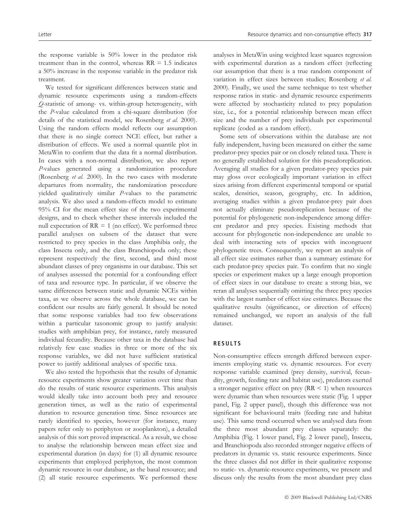the response variable is 50% lower in the predator risk treatment than in the control, whereas  $RR = 1.5$  indicates a 50% increase in the response variable in the predator risk treatment.

We tested for significant differences between static and dynamic resource experiments using a random-effects Q-statistic of among- vs. within-group heterogeneity, with the P-value calculated from a chi-square distribution (for details of the statistical model, see Rosenberg et al. 2000). Using the random effects model reflects our assumption that there is no single correct NCE effect, but rather a distribution of effects. We used a normal quantile plot in MetaWin to confirm that the data fit a normal distribution. In cases with a non-normal distribution, we also report P-values generated using a randomization procedure (Rosenberg et al. 2000). In the two cases with moderate departures from normality, the randomization procedure yielded qualitatively similar P-values to the parametric analysis. We also used a random-effects model to estimate 95% CI for the mean effect size of the two experimental designs, and to check whether these intervals included the null expectation of  $RR = 1$  (no effect). We performed three parallel analyses on subsets of the dataset that were restricted to prey species in the class Amphibia only, the class Insecta only, and the class Branchiopoda only; these represent respectively the first, second, and third most abundant classes of prey organisms in our database. This set of analyses assessed the potential for a confounding effect of taxa and resource type. In particular, if we observe the same differences between static and dynamic NCEs within taxa, as we observe across the whole database, we can be confident our results are fairly general. It should be noted that some response variables had too few observations within a particular taxonomic group to justify analysis: studies with amphibian prey, for instance, rarely measured individual fecundity. Because other taxa in the database had relatively few case studies in three or more of the six response variables, we did not have sufficient statistical power to justify additional analyses of specific taxa.

We also tested the hypothesis that the results of dynamic resource experiments show greater variation over time than do the results of static resource experiments. This analysis would ideally take into account both prey and resource generation times, as well as the ratio of experimental duration to resource generation time. Since resources are rarely identified to species, however (for instance, many papers refer only to periphyton or zooplankton), a detailed analysis of this sort proved impractical. As a result, we chose to analyse the relationship between mean effect size and experimental duration (in days) for (1) all dynamic resource experiments that employed periphyton, the most common dynamic resource in our database, as the basal resource; and (2) all static resource experiments. We performed these analyses in MetaWin using weighted least squares regression with experimental duration as a random effect (reflecting our assumption that there is a true random component of variation in effect sizes between studies; Rosenberg et al. 2000). Finally, we used the same technique to test whether response ratios in static- and dynamic resource experiments were affected by stochasticity related to prey population size, i.e., for a potential relationship between mean effect size and the number of prey individuals per experimental replicate (coded as a random effect).

Some sets of observations within the database are not fully independent, having been measured on either the same predator-prey species pair or on closely related taxa. There is no generally established solution for this pseudoreplication. Averaging all studies for a given predator-prey species pair may gloss over ecologically important variation in effect sizes arising from different experimental temporal or spatial scales, densities, season, geography, etc. In addition, averaging studies within a given predator-prey pair does not actually eliminate pseudoreplication because of the potential for phylogenetic non-independence among different predator and prey species. Existing methods that account for phylogenetic non-independence are unable to deal with interacting sets of species with incongruent phylogenetic trees. Consequently, we report an analysis of all effect size estimates rather than a summary estimate for each predator-prey species pair. To confirm that no single species or experiment makes up a large enough proportion of effect sizes in our database to create a strong bias, we reran all analyses sequentially omitting the three prey species with the largest number of effect size estimates. Because the qualitative results (significance, or direction of effects) remained unchanged, we report an analysis of the full dataset.

#### RESULTS

Non-consumptive effects strength differed between experiments employing static vs. dynamic resources. For every response variable examined (prey density, survival, fecundity, growth, feeding rate and habitat use), predators exerted a stronger negative effect on prey ( $RR < 1$ ) when resources were dynamic than when resources were static (Fig. 1 upper panel, Fig. 2 upper panel), though this difference was not significant for behavioural traits (feeding rate and habitat use). This same trend occurred when we analysed data from the three most abundant prey classes separately: the Amphibia (Fig. 1 lower panel, Fig. 2 lower panel), Insecta, and Branchiopoda also recorded stronger negative effects of predators in dynamic vs. static resource experiments. Since the three classes did not differ in their qualitative response to static- vs. dynamic-resource experiments, we present and discuss only the results from the most abundant prey class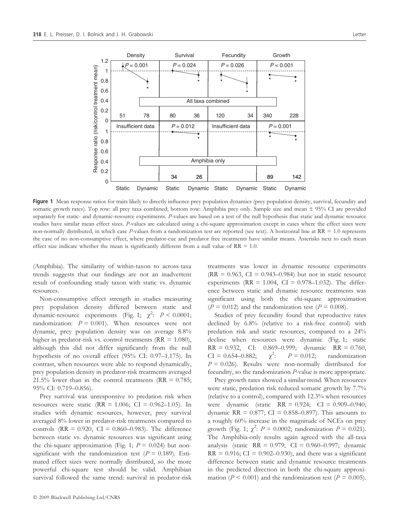

Figure 1 Mean response ratios for traits likely to directly influence prey population dynamics (prey population density, survival, fecundity and somatic growth rates). Top row: all prey taxa combined; bottom row: Amphibia prey only. Sample size and mean  $\pm$  95% CI are provided separately for static- and dynamic-resource experiments. P-values are based on a test of the null hypothesis that static and dynamic resource studies have similar mean effect sizes. P-values are calculated using a chi-square approximation except in cases where the effect sizes were non-normally distributed, in which case P-values from a randomization test are reported (see text). A horizontal line at  $RR = 1.0$  represents the case of no non-consumptive effect, where predator-cue and predator free treatments have similar means. Asterisks next to each mean effect size indicate whether the mean is significantly different from a null value of  $RR = 1.0$ .

(Amphibia). The similarity of within-taxon to across-taxa trends suggests that our findings are not an inadvertent result of confounding study taxon with static vs. dynamic resources.

Non-consumptive effect strength in studies measuring prey population density differed between static and dynamic-resource experiments (Fig. 1;  $\chi^2$ :  $P < 0.0001$ ; randomization:  $P = 0.001$ ). When resources were not dynamic, prey population density was on average 8.8% higher in predator-risk vs. control treatments ( $RR = 1.080$ ), although this did not differ significantly from the null hypothesis of no overall effect (95% CI: 0.97–1.175). In contrast, when resources were able to respond dynamically, prey population density in predator-risk treatments averaged 21.5% lower than in the control treatments (RR =  $0.785$ ; 95% CI: 0.719–0.856).

Prey survival was unresponsive to predation risk when resources were static (RR = 1.006; CI = 0.962–1.05). In studies with dynamic resources, however, prey survival averaged 8% lower in predator-risk treatments compared to controls (RR =  $0.920$ , CI =  $0.860 - 0.983$ ). The difference between static vs. dynamic resources was significant using the chi-square approximation (Fig. 1;  $P = 0.024$ ) but nonsignificant with the randomization test ( $P = 0.189$ ). Estimated effect sizes were normally distributed, so the more powerful chi-square test should be valid. Amphibian survival followed the same trend: survival in predator-risk treatments was lower in dynamic resource experiments  $(RR = 0.963, CI = 0.943-0.984)$  but not in static resource experiments (RR = 1.004, CI = 0.978-1.032). The difference between static and dynamic resource treatments was significant using both the chi-square approximation  $(P = 0.012)$  and the randomization test  $(P = 0.008)$ .

Studies of prey fecundity found that reproductive rates declined by 6.8% (relative to a risk-free control) with predation risk and static resources, compared to a 24% decline when resources were dynamic (Fig. 1; static RR = 0.932, CI: 0.869–0.999; dynamic RR = 0.760,<br>CI = 0.654–0.882;  $\gamma^2$ :  $P = 0.012$ ; randomization  $CI = 0.654 - 0.882$ ;  $P = 0.012$ ; randomization  $P = 0.026$ ). Results were non-normally distributed for fecundity, so the randomization P-value is more appropriate.

Prey growth rates showed a similar trend. When resources were static, predation risk reduced somatic growth by 7.7% (relative to a control), compared with 12.3% when resources were dynamic (static RR =  $0.924$ ; CI =  $0.909 - 0.940$ ; dynamic RR =  $0.877$ ; CI =  $0.858-0.897$ ). This amounts to a roughly 60% increase in the magnitude of NCEs on prey growth (Fig. 1;  $\chi^2$ :  $P = 0.0002$ ; randomization  $P = 0.021$ ). The Amphibia-only results again agreed with the all-taxa analysis (static RR =  $0.979$ ; CI =  $0.960-0.997$ ; dynamic  $RR = 0.916$ ;  $CI = 0.902-0.930$ , and there was a significant difference between static and dynamic resource treatments in the predicted direction in both the chi-square approximation ( $P < 0.001$ ) and the randomization test ( $P = 0.005$ ).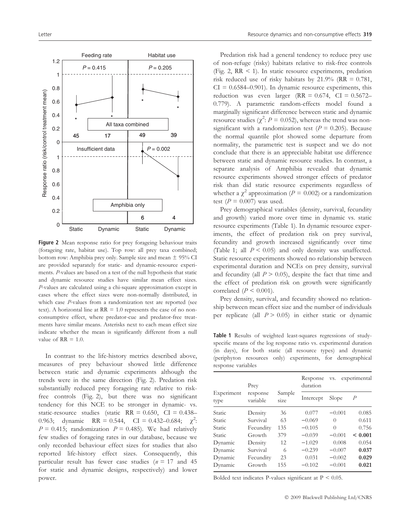

Figure 2 Mean response ratio for prey forageing behaviour traits (forageing rate, habitat use). Top row: all prey taxa combined; bottom row: Amphibia prey only. Sample size and mean ± 95% CI are provided separately for static- and dynamic-resource experiments. P-values are based on a test of the null hypothesis that static and dynamic resource studies have similar mean effect sizes. P-values are calculated using a chi-square approximation except in cases where the effect sizes were non-normally distributed, in which case P-values from a randomization test are reported (see text). A horizontal line at  $RR = 1.0$  represents the case of no nonconsumptive effect, where predator-cue and predator-free treatments have similar means. Asterisks next to each mean effect size indicate whether the mean is significantly different from a null marcate whener the mean is significantly different from a num  $\theta$  Table 1 Results of weighted least-squares regressions of study-<br>value of RR = 1.0.

In contrast to the life-history metrics described above, measures of prey behaviour showed little difference between static and dynamic experiments although the trends were in the same direction (Fig. 2). Predation risk substantially reduced prey forageing rate relative to riskfree controls (Fig. 2), but there was no significant tendency for this NCE to be stronger in dynamic- vs. static-resource studies (static RR =  $0.650$ , CI =  $0.438-$ 0.963; dynamic RR = 0.544, CI = 0.432–0.684;  $\chi^2$ :  $P = 0.415$ ; randomization  $P = 0.485$ ). We had relatively few studies of forageing rates in our database, because we only recorded behaviour effect sizes for studies that also reported life-history effect sizes. Consequently, this particular result has fewer case studies ( $n = 17$  and 45 for static and dynamic designs, respectively) and lower power.

Predation risk had a general tendency to reduce prey use of non-refuge (risky) habitats relative to risk-free controls (Fig. 2, RR < 1). In static resource experiments, predation risk reduced use of risky habitats by  $21.9\%$  (RR = 0.781,  $CI = 0.6584 - 0.901$ . In dynamic resource experiments, this reduction was even larger  $(RR = 0.674, CI = 0.5672-$ 0.779). A parametric random-effects model found a marginally significant difference between static and dynamic resource studies ( $\chi^2$ :  $P = 0.052$ ), whereas the trend was nonsignificant with a randomization test ( $P = 0.205$ ). Because the normal quantile plot showed some departure from normality, the parametric test is suspect and we do not conclude that there is an appreciable habitat use difference between static and dynamic resource studies. In contrast, a separate analysis of Amphibia revealed that dynamic resource experiments showed stronger effects of predator risk than did static resource experiments regardless of whether a  $\chi^2$  approximation ( $P = 0.002$ ) or a randomization test ( $P = 0.007$ ) was used.

Prey demographical variables (density, survival, fecundity and growth) varied more over time in dynamic vs. static resource experiments (Table 1). In dynamic resource experiments, the effect of predation risk on prey survival, fecundity and growth increased significantly over time (Table 1; all  $P < 0.05$ ) and only density was unaffected. Static resource experiments showed no relationship between experimental duration and NCEs on prey density, survival and fecundity (all  $P > 0.05$ ), despite the fact that time and the effect of predation risk on growth were significantly correlated  $(P < 0.001)$ .

Prey density, survival, and fecundity showed no relationship between mean effect size and the number of individuals per replicate (all  $P > 0.05$ ) in either static or dynamic

specific means of the log response ratio vs. experimental duration (in days), for both static (all resource types) and dynamic (periphyton resources only) experiments, for demographical response variables

|                    | Prey                 |                | Response<br>duration | experimental<br>VS. |                  |
|--------------------|----------------------|----------------|----------------------|---------------------|------------------|
| Experiment<br>type | response<br>variable | Sample<br>size | Intercept            | Slope               | $\boldsymbol{P}$ |
| <b>Static</b>      | Density              | 36             | 0.077                | $-0.001$            | 0.085            |
| <b>Static</b>      | Survival             | 63             | $-0.069$             | $\left( \right)$    | 0.611            |
| <b>Static</b>      | Fecundity            | 135            | $-0.105$             | $\Omega$            | 0.756            |
| <b>Static</b>      | Growth               | 379            | $-0.039$             | $-0.001$            | < 0.001          |
| Dynamic            | Density              | 12             | $-1.029$             | 0.008               | 0.054            |
| Dynamic            | Survival             | 6              | $-0.239$             | $-0.007$            | 0.037            |
| Dynamic            | Fecundity            | 23             | 0.031                | $-0.002$            | 0.029            |
| Dynamic            | Growth               | 155            | $-0.102$             | $-0.001$            | 0.021            |

Bolded text indicates P-values significant at P < 0.05.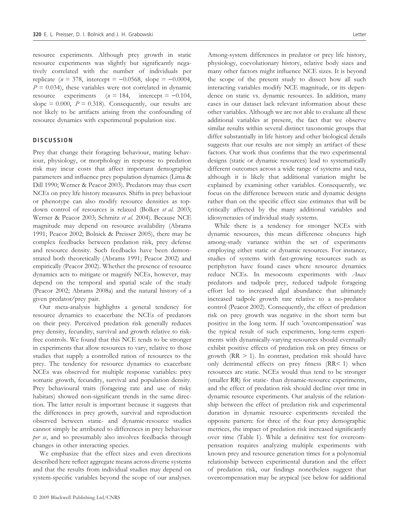resource experiments. Although prey growth in static resource experiments was slightly but significantly negatively correlated with the number of individuals per replicate ( $n = 378$ , intercept = -0.0568, slope = -0.0004,  $P = 0.034$ , these variables were not correlated in dynamic resource experiments ( $n = 184$ , intercept = -0.104, slope = 0.000,  $P = 0.318$ ). Consequently, our results are not likely to be artifacts arising from the confounding of resource dynamics with experimental population size.

# **DISCUSSION**

Prey that change their forageing behaviour, mating behaviour, physiology, or morphology in response to predation risk may incur costs that affect important demographic parameters and influence prey population dynamics (Lima & Dill 1990; Werner & Peacor 2003). Predators may thus exert NCEs on prey life history measures. Shifts in prey behaviour or phenotype can also modify resource densities as topdown control of resources is relaxed (Bolker et al. 2003; Werner & Peacor 2003; Schmitz et al. 2004). Because NCE magnitude may depend on resource availability (Abrams 1991; Peacor 2002; Bolnick & Preisser 2005), there may be complex feedbacks between predation risk, prey defense and resource density. Such feedbacks have been demonstrated both theoretically (Abrams 1991; Peacor 2002) and empirically (Peacor 2002). Whether the presence of resource dynamics acts to mitigate or magnify NCEs, however, may depend on the temporal and spatial scale of the study (Peacor 2002; Abrams 2008a) and the natural history of a given predator⁄ prey pair.

Our meta-analysis highlights a general tendency for resource dynamics to exacerbate the NCEs of predators on their prey. Perceived predation risk generally reduces prey density, fecundity, survival and growth relative to riskfree controls. We found that this NCE tends to be stronger in experiments that allow resources to vary, relative to those studies that supply a controlled ration of resources to the prey. The tendency for resource dynamics to exacerbate NCEs was observed for multiple response variables: prey somatic growth, fecundity, survival and population density. Prey behavioural traits (forageing rate and use of risky habitats) showed non-significant trends in the same direction. The latter result is important because it suggests that the differences in prey growth, survival and reproduction observed between static- and dynamic-resource studies cannot simply be attributed to differences in prey behaviour per se, and so presumably also involves feedbacks through changes in other interacting species.

We emphasize that the effect sizes and even directions described here reflect aggregate means across diverse systems and that the results from individual studies may depend on system-specific variables beyond the scope of our analyses. Among-system differences in predator or prey life history, physiology, coevolutionary history, relative body sizes and many other factors might influence NCE sizes. It is beyond the scope of the present study to dissect how all such interacting variables modify NCE magnitude, or its dependence on static vs. dynamic resources. In addition, many cases in our dataset lack relevant information about these other variables. Although we are not able to evaluate all these additional variables at present, the fact that we observe similar results within several distinct taxonomic groups that differ substantially in life history and other biological details suggests that our results are not simply an artifact of these factors. Our work thus confirms that the two experimental designs (static or dynamic resources) lead to systematically different outcomes across a wide range of systems and taxa, although it is likely that additional variation might be explained by examining other variables. Consequently, we focus on the difference between static and dynamic designs rather than on the specific effect size estimates that will be critically affected by the many additional variables and idiosyncrasies of individual study systems.

While there is a tendency for stronger NCEs with dynamic resources, this mean difference obscures high among-study variance within the set of experiments employing either static or dynamic resources. For instance, studies of systems with fast-growing resources such as periphyton have found cases where resource dynamics reduce NCEs. In mesocosm experiments with Anax predators and tadpole prey, reduced tadpole forageing effort led to increased algal abundance that ultimately increased tadpole growth rate relative to a no-predator control (Peacor 2002). Consequently, the effect of predation risk on prey growth was negative in the short term but positive in the long term. If such 'overcompensation' was the typical result of such experiments, long-term experiments with dynamically-varying resources should eventually exhibit positive effects of predation risk on prey fitness or growth  $(RR > 1)$ . In contrast, predation risk should have only detrimental effects on prey fitness (RR< 1) when resources are static. NCEs would thus tend to be stronger (smaller RR) for static- than dynamic-resource experiments, and the effect of predation risk should decline over time in dynamic resource experiments. Our analysis of the relationship between the effect of predation risk and experimental duration in dynamic resource experiments revealed the opposite pattern: for three of the four prey demographic metrices, the impact of predation risk increased significantly over time (Table 1). While a definitive test for overcompensation requires analyzing multiple experiments with known prey and resource generation times for a polynomial relationship between experimental duration and the effect of predation risk, our findings nonetheless suggest that overcompensation may be atypical (see below for additional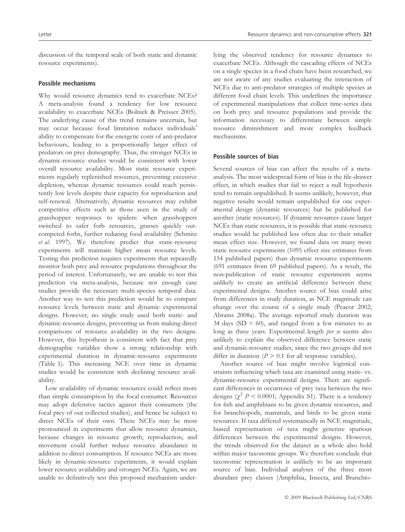discussion of the temporal scale of both static and dynamic resource experiments).

#### Possible mechanisms

Why would resource dynamics tend to exacerbate NCEs? A meta-analysis found a tendency for low resource availability to exacerbate NCEs (Bolnick & Preisser 2005). The underlying cause of this trend remains uncertain, but may occur because food limitation reduces individuals ability to compensate for the energetic costs of anti-predator behaviours, leading to a proportionally larger effect of predators on prey demography. Thus, the stronger NCEs in dynamic-resource studies would be consistent with lower overall resource availability. Most static resource experiments regularly replenished resources, preventing excessive depletion, whereas dynamic resources could reach persistently low levels despite their capacity for reproduction and self-renewal. Alternatively, dynamic resources may exhibit competitive effects such as those seen in the study of grasshopper responses to spiders: when grasshoppers switched to safer forb resources, grasses quickly outcompeted forbs, further reducing food availability (Schmitz et al. 1997). We therefore predict that static-resource experiments will maintain higher mean resource levels. Testing this prediction requires experiments that repeatedly monitor both prey and resource populations throughout the period of interest. Unfortunately, we are unable to test this prediction via meta-analysis, because not enough case studies provide the necessary multi-species temporal data. Another way to test this prediction would be to compare resource levels between static and dynamic experimental designs. However, no single study used both static- and dynamic-resource designs, preventing us from making direct comparisons of resource availability in the two designs. However, this hypothesis is consistent with fact that prey demographic variables show a strong relationship with experimental duration in dynamic-resource experiments (Table 1). This increasing NCE over time in dynamic studies would be consistent with declining resource availability.

Low availability of dynamic resources could reflect more than simple consumption by the focal consumer. Resources may adopt defensive tactics against their consumers (the focal prey of our collected studies), and hence be subject to direct NCEs of their own. These NCEs may be most pronounced in experiments that allow resource dynamics, because changes in resource growth, reproduction, and movement could further reduce resource abundance in addition to direct consumption. If resource NCEs are more likely in dynamic-resource experiments, it would explain lower resource availability and stronger NCEs. Again, we are unable to definitively test this proposed mechanism underlying the observed tendency for resource dynamics to exacerbate NCEs. Although the cascading effects of NCEs on a single species in a food chain have been researched, we are not aware of any studies evaluating the interaction of NCEs due to anti-predator strategies of multiple species at different food chain levels. This underlines the importance of experimental manipulations that collect time-series data on both prey and resource populations and provide the information necessary to differentiate between simple resource diminishment and more complex feedback mechanisms.

## Possible sources of bias

Several sources of bias can affect the results of a metaanalysis. The most widespread form of bias is the file-drawer effect, in which studies that fail to reject a null hypothesis tend to remain unpublished. It seems unlikely, however, that negative results would remain unpublished for one experimental design (dynamic resources) but be published for another (static resources). If dynamic resources cause larger NCEs than static resources, it is possible that static-resource studies would be published less often due to their smaller mean effect size. However, we found data on many more static resource experiments (1095 effect size estimates from 154 published papers) than dynamic resource experiments (691 estimates from 69 published papers). As a result, the non-publication of static resource experiments seems unlikely to create an artificial difference between these experimental designs. Another source of bias could arise from differences in study duration, as NCE magnitude can change over the course of a single study (Peacor 2002; Abrams 2008a). The average reported study duration was 34 days ( $SD = 60$ ), and ranged from a few minutes to as long as three years. Experimental length per se seems also unlikely to explain the observed difference between static and dynamic-resource studies, since the two groups did not differ in duration ( $P > 0.1$  for all response variables).

Another source of bias might involve logistical constraints influencing which taxa are examined using static- vs. dynamic-resource experimental designs. There are significant differences in occurrence of prey taxa between the two designs ( $\chi^2$  P < 0.0001; Appendix S1). There is a tendency for fish and amphibians to be given dynamic resources, and for branchiopods, mammals, and birds to be given static resources. If taxa differed systematically in NCE magnitude, biased representation of taxa might generate spurious differences between the experimental designs. However, the trends observed for the dataset as a whole also hold within major taxonomic groups. We therefore conclude that taxonomic representation is unlikely to be an important source of bias. Individual analyses of the three most abundant prey classes (Amphibia, Insecta, and Branchio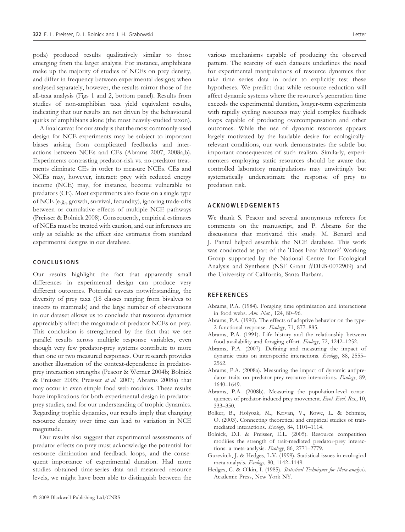poda) produced results qualitatively similar to those emerging from the larger analysis. For instance, amphibians make up the majority of studies of NCEs on prey density, and differ in frequency between experimental designs; when analysed separately, however, the results mirror those of the all-taxa analysis (Figs 1 and 2, bottom panel). Results from studies of non-amphibian taxa yield equivalent results, indicating that our results are not driven by the behavioural quirks of amphibians alone (the most heavily-studied taxon).

A final caveat for our study is that the most commonly-used design for NCE experiments may be subject to important biases arising from complicated feedbacks and interactions between NCEs and CEs (Abrams 2007, 2008a,b). Experiments contrasting predator-risk vs. no-predator treatments eliminate CEs in order to measure NCEs. CEs and NCEs may, however, interact: prey with reduced energy income (NCE) may, for instance, become vulnerable to predators (CE). Most experiments also focus on a single type of NCE (e.g., growth, survival, fecundity), ignoring trade-offs between or cumulative effects of multiple NCE pathways (Preisser & Bolnick 2008). Consequently, empirical estimates of NCEs must be treated with caution, and our inferences are only as reliable as the effect size estimates from standard experimental designs in our database.

# CONCLUSIONS

Our results highlight the fact that apparently small differences in experimental design can produce very different outcomes. Potential caveats notwithstanding, the diversity of prey taxa (18 classes ranging from bivalves to insects to mammals) and the large number of observations in our dataset allows us to conclude that resource dynamics appreciably affect the magnitude of predator NCEs on prey. This conclusion is strengthened by the fact that we see parallel results across multiple response variables, even though very few predator-prey systems contribute to more than one or two measured responses. Our research provides another illustration of the context-dependence in predatorprey interaction strengths (Peacor & Werner 2004b; Bolnick & Preisser 2005; Preisser et al. 2007; Abrams 2008a) that may occur in even simple food web modules. These results have implications for both experimental design in predatorprey studies, and for our understanding of trophic dynamics. Regarding trophic dynamics, our results imply that changing resource density over time can lead to variation in NCE magnitude.

Our results also suggest that experimental assessments of predator effects on prey must acknowledge the potential for resource diminution and feedback loops, and the consequent importance of experimental duration. Had more studies obtained time-series data and measured resource levels, we might have been able to distinguish between the

various mechanisms capable of producing the observed pattern. The scarcity of such datasets underlines the need for experimental manipulations of resource dynamics that take time series data in order to explicitly test these hypotheses. We predict that while resource reduction will affect dynamic systems where the resource's generation time exceeds the experimental duration, longer-term experiments with rapidly cycling resources may yield complex feedback loops capable of producing overcompensation and other outcomes. While the use of dynamic resources appears largely motivated by the laudable desire for ecologicallyrelevant conditions, our work demonstrates the subtle but important consequences of such realism. Similarly, experimenters employing static resources should be aware that controlled laboratory manipulations may unwittingly but systematically underestimate the response of prey to predation risk.

# ACKNOWLEDGEMENTS

We thank S. Peacor and several anonymous referees for comments on the manuscript, and P. Abrams for the discussions that motivated this study. M. Benard and J. Pantel helped assemble the NCE database. This work was conducted as part of the 'Does Fear Matter?' Working Group supported by the National Centre for Ecological Analysis and Synthesis (NSF Grant #DEB-0072909) and the University of California, Santa Barbara.

# **REFERENCES**

- Abrams, P.A. (1984). Foraging time optimization and interactions in food webs. Am. Nat., 124, 80–96.
- Abrams, P.A. (1990). The effects of adaptive behavior on the type-2 functional response. Ecology, 71, 877–885.
- Abrams, P.A. (1991). Life history and the relationship between food availability and foraging effort. Ecology, 72, 1242–1252.
- Abrams, P.A. (2007). Defining and measuring the impact of dynamic traits on interspecific interactions. Ecology, 88, 2555-2562.
- Abrams, P.A. (2008a). Measuring the impact of dynamic antipredator traits on predator-prey-resource interactions. Ecology, 89, 1640–1649.
- Abrams, P.A. (2008b). Measuring the population-level consequences of predator-induced prey movement. Evol. Ecol. Res., 10, 333–350.
- Bolker, B., Holyoak, M., Krivan, V., Rowe, L. & Schmitz, O. (2003). Connecting theoretical and empirical studies of traitmediated interactions. Ecology, 84, 1101–1114.
- Bolnick, D.I. & Preisser, E.L. (2005). Resource competition modifies the strength of trait-mediated predator-prey interactions: a meta-analysis. Ecology, 86, 2771–2779.
- Gurevitch, J. & Hedges, L.V. (1999). Statistical issues in ecological meta-analysis. Ecology, 80, 1142–1149.
- Hedges, C. & Olkin, I. (1985). Statistical Techniques for Meta-analysis. Academic Press, New York NY.